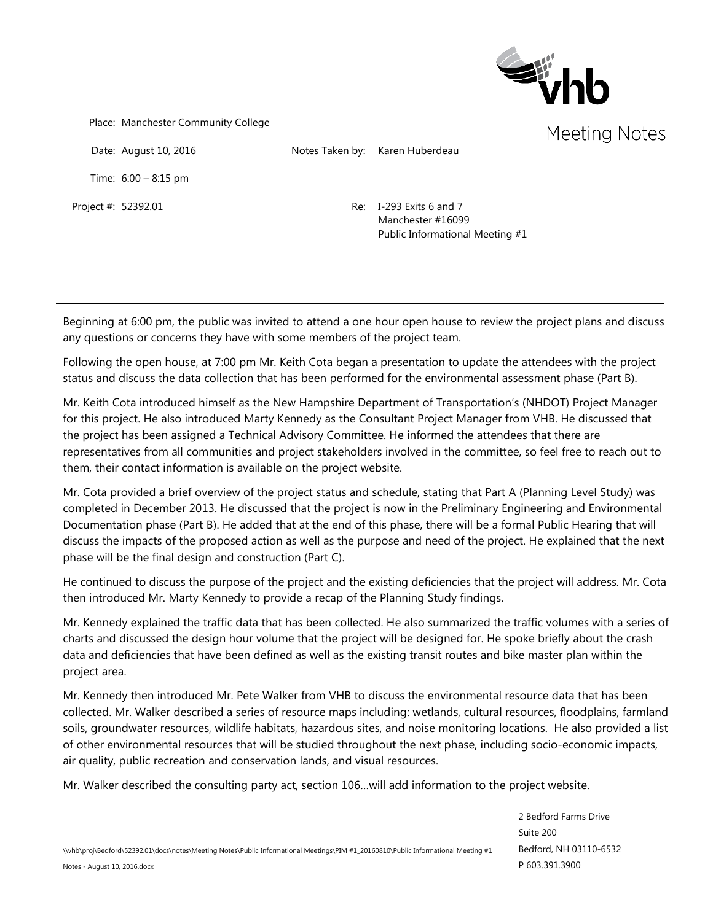

Place: Manchester Community College

Date: August 10, 2016 Notes Taken by: Karen Huberdeau

Time: 6:00 – 8:15 pm

Project #: 52392.01 Re: I-293 Exits 6 and 7 Manchester #16099 Public Informational Meeting #1

Beginning at 6:00 pm, the public was invited to attend a one hour open house to review the project plans and discuss any questions or concerns they have with some members of the project team.

Following the open house, at 7:00 pm Mr. Keith Cota began a presentation to update the attendees with the project status and discuss the data collection that has been performed for the environmental assessment phase (Part B).

Mr. Keith Cota introduced himself as the New Hampshire Department of Transportation's (NHDOT) Project Manager for this project. He also introduced Marty Kennedy as the Consultant Project Manager from VHB. He discussed that the project has been assigned a Technical Advisory Committee. He informed the attendees that there are representatives from all communities and project stakeholders involved in the committee, so feel free to reach out to them, their contact information is available on the project website.

Mr. Cota provided a brief overview of the project status and schedule, stating that Part A (Planning Level Study) was completed in December 2013. He discussed that the project is now in the Preliminary Engineering and Environmental Documentation phase (Part B). He added that at the end of this phase, there will be a formal Public Hearing that will discuss the impacts of the proposed action as well as the purpose and need of the project. He explained that the next phase will be the final design and construction (Part C).

He continued to discuss the purpose of the project and the existing deficiencies that the project will address. Mr. Cota then introduced Mr. Marty Kennedy to provide a recap of the Planning Study findings.

Mr. Kennedy explained the traffic data that has been collected. He also summarized the traffic volumes with a series of charts and discussed the design hour volume that the project will be designed for. He spoke briefly about the crash data and deficiencies that have been defined as well as the existing transit routes and bike master plan within the project area.

Mr. Kennedy then introduced Mr. Pete Walker from VHB to discuss the environmental resource data that has been collected. Mr. Walker described a series of resource maps including: wetlands, cultural resources, floodplains, farmland soils, groundwater resources, wildlife habitats, hazardous sites, and noise monitoring locations. He also provided a list of other environmental resources that will be studied throughout the next phase, including socio-economic impacts, air quality, public recreation and conservation lands, and visual resources.

Mr. Walker described the consulting party act, section 106…will add information to the project website.

2 Bedford Farms Drive Suite 200 Bedford, NH 03110-6532 P 603.391.3900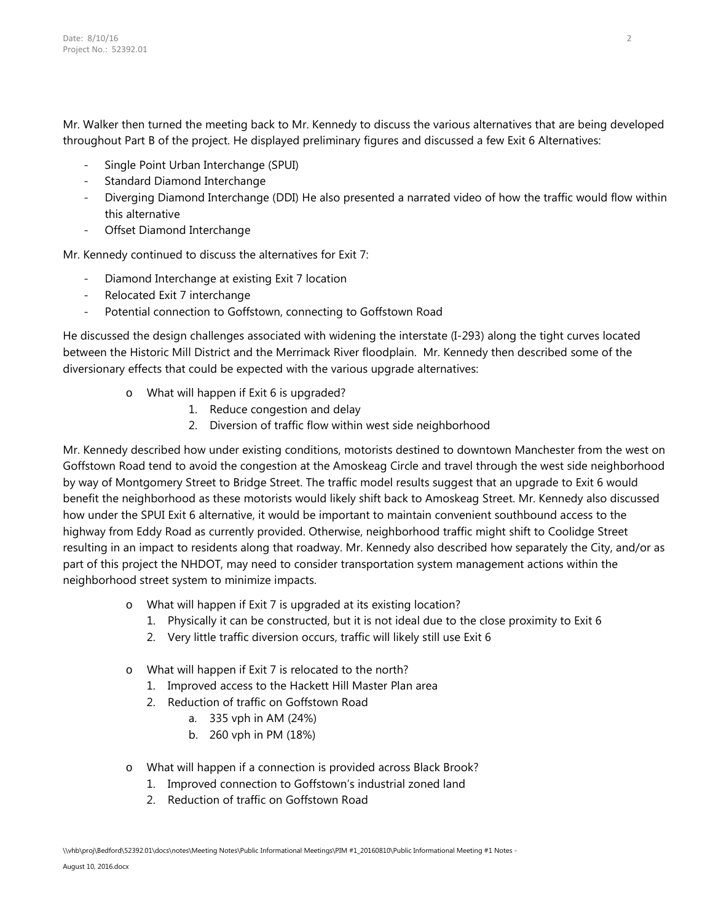Mr. Walker then turned the meeting back to Mr. Kennedy to discuss the various alternatives that are being developed throughout Part B of the project. He displayed preliminary figures and discussed a few Exit 6 Alternatives:

- Single Point Urban Interchange (SPUI)
- Standard Diamond Interchange
- Diverging Diamond Interchange (DDI) He also presented a narrated video of how the traffic would flow within this alternative
- Offset Diamond Interchange

Mr. Kennedy continued to discuss the alternatives for Exit 7:

- Diamond Interchange at existing Exit 7 location
- Relocated Exit 7 interchange
- Potential connection to Goffstown, connecting to Goffstown Road

He discussed the design challenges associated with widening the interstate (I-293) along the tight curves located between the Historic Mill District and the Merrimack River floodplain. Mr. Kennedy then described some of the diversionary effects that could be expected with the various upgrade alternatives:

- o What will happen if Exit 6 is upgraded?
	- 1. Reduce congestion and delay
	- 2. Diversion of traffic flow within west side neighborhood

Mr. Kennedy described how under existing conditions, motorists destined to downtown Manchester from the west on Goffstown Road tend to avoid the congestion at the Amoskeag Circle and travel through the west side neighborhood by way of Montgomery Street to Bridge Street. The traffic model results suggest that an upgrade to Exit 6 would benefit the neighborhood as these motorists would likely shift back to Amoskeag Street. Mr. Kennedy also discussed how under the SPUI Exit 6 alternative, it would be important to maintain convenient southbound access to the highway from Eddy Road as currently provided. Otherwise, neighborhood traffic might shift to Coolidge Street resulting in an impact to residents along that roadway. Mr. Kennedy also described how separately the City, and/or as part of this project the NHDOT, may need to consider transportation system management actions within the neighborhood street system to minimize impacts.

- o What will happen if Exit 7 is upgraded at its existing location?
	- 1. Physically it can be constructed, but it is not ideal due to the close proximity to Exit 6
	- 2. Very little traffic diversion occurs, traffic will likely still use Exit 6
- o What will happen if Exit 7 is relocated to the north?
	- 1. Improved access to the Hackett Hill Master Plan area
	- 2. Reduction of traffic on Goffstown Road
		- a. 335 vph in AM (24%)
		- b. 260 vph in PM (18%)
- o What will happen if a connection is provided across Black Brook?
	- 1. Improved connection to Goffstown's industrial zoned land
	- 2. Reduction of traffic on Goffstown Road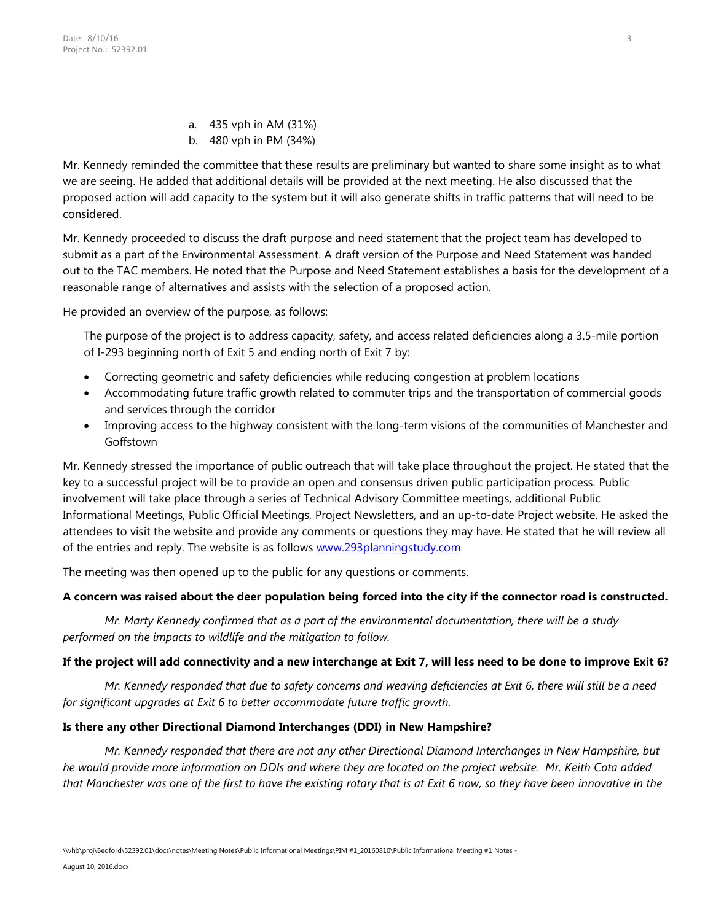- a. 435 vph in AM (31%)
- b. 480 vph in PM (34%)

Mr. Kennedy reminded the committee that these results are preliminary but wanted to share some insight as to what we are seeing. He added that additional details will be provided at the next meeting. He also discussed that the proposed action will add capacity to the system but it will also generate shifts in traffic patterns that will need to be considered.

Mr. Kennedy proceeded to discuss the draft purpose and need statement that the project team has developed to submit as a part of the Environmental Assessment. A draft version of the Purpose and Need Statement was handed out to the TAC members. He noted that the Purpose and Need Statement establishes a basis for the development of a reasonable range of alternatives and assists with the selection of a proposed action.

He provided an overview of the purpose, as follows:

The purpose of the project is to address capacity, safety, and access related deficiencies along a 3.5-mile portion of I-293 beginning north of Exit 5 and ending north of Exit 7 by:

- Correcting geometric and safety deficiencies while reducing congestion at problem locations
- Accommodating future traffic growth related to commuter trips and the transportation of commercial goods and services through the corridor
- Improving access to the highway consistent with the long-term visions of the communities of Manchester and Goffstown

Mr. Kennedy stressed the importance of public outreach that will take place throughout the project. He stated that the key to a successful project will be to provide an open and consensus driven public participation process. Public involvement will take place through a series of Technical Advisory Committee meetings, additional Public Informational Meetings, Public Official Meetings, Project Newsletters, and an up-to-date Project website. He asked the attendees to visit the website and provide any comments or questions they may have. He stated that he will review all of the entries and reply. The website is as follows [www.293planningstudy.com](http://www.293planningstudy.com/)

The meeting was then opened up to the public for any questions or comments.

# **A concern was raised about the deer population being forced into the city if the connector road is constructed.**

*Mr. Marty Kennedy confirmed that as a part of the environmental documentation, there will be a study performed on the impacts to wildlife and the mitigation to follow.*

# **If the project will add connectivity and a new interchange at Exit 7, will less need to be done to improve Exit 6?**

*Mr. Kennedy responded that due to safety concerns and weaving deficiencies at Exit 6, there will still be a need for significant upgrades at Exit 6 to better accommodate future traffic growth.*

# **Is there any other Directional Diamond Interchanges (DDI) in New Hampshire?**

*Mr. Kennedy responded that there are not any other Directional Diamond Interchanges in New Hampshire, but he would provide more information on DDIs and where they are located on the project website. Mr. Keith Cota added that Manchester was one of the first to have the existing rotary that is at Exit 6 now, so they have been innovative in the*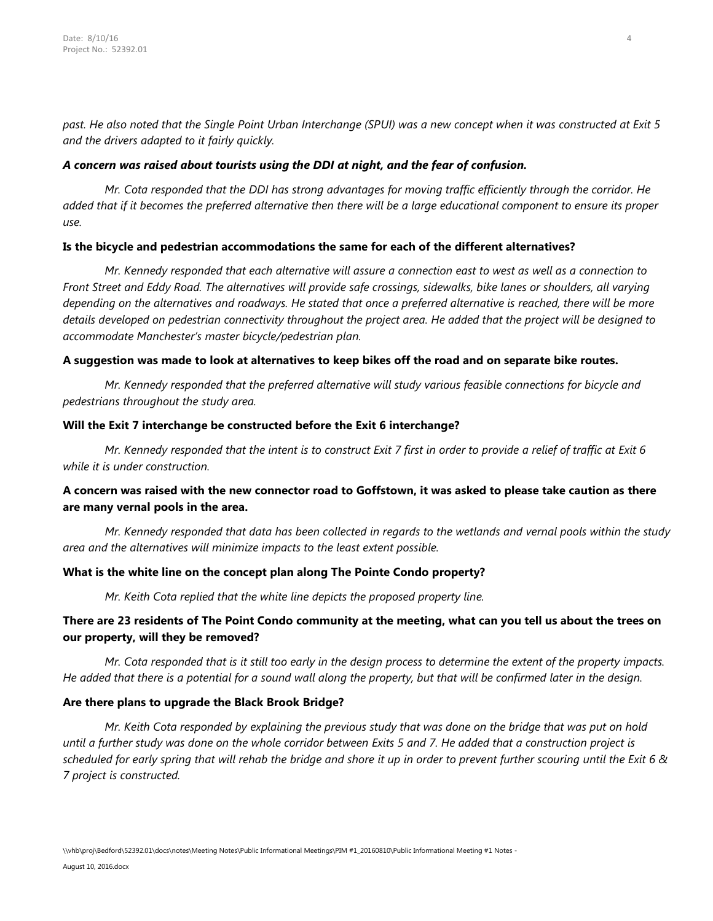*past. He also noted that the Single Point Urban Interchange (SPUI) was a new concept when it was constructed at Exit 5 and the drivers adapted to it fairly quickly.*

#### *A concern was raised about tourists using the DDI at night, and the fear of confusion.*

*Mr. Cota responded that the DDI has strong advantages for moving traffic efficiently through the corridor. He added that if it becomes the preferred alternative then there will be a large educational component to ensure its proper use.* 

## **Is the bicycle and pedestrian accommodations the same for each of the different alternatives?**

*Mr. Kennedy responded that each alternative will assure a connection east to west as well as a connection to Front Street and Eddy Road. The alternatives will provide safe crossings, sidewalks, bike lanes or shoulders, all varying depending on the alternatives and roadways. He stated that once a preferred alternative is reached, there will be more details developed on pedestrian connectivity throughout the project area. He added that the project will be designed to accommodate Manchester's master bicycle/pedestrian plan.* 

#### **A suggestion was made to look at alternatives to keep bikes off the road and on separate bike routes.**

*Mr. Kennedy responded that the preferred alternative will study various feasible connections for bicycle and pedestrians throughout the study area.* 

#### **Will the Exit 7 interchange be constructed before the Exit 6 interchange?**

*Mr. Kennedy responded that the intent is to construct Exit 7 first in order to provide a relief of traffic at Exit 6 while it is under construction.*

# **A concern was raised with the new connector road to Goffstown, it was asked to please take caution as there are many vernal pools in the area.**

*Mr. Kennedy responded that data has been collected in regards to the wetlands and vernal pools within the study area and the alternatives will minimize impacts to the least extent possible.*

## **What is the white line on the concept plan along The Pointe Condo property?**

*Mr. Keith Cota replied that the white line depicts the proposed property line.* 

## **There are 23 residents of The Point Condo community at the meeting, what can you tell us about the trees on our property, will they be removed?**

*Mr. Cota responded that is it still too early in the design process to determine the extent of the property impacts. He added that there is a potential for a sound wall along the property, but that will be confirmed later in the design.*

#### **Are there plans to upgrade the Black Brook Bridge?**

*Mr. Keith Cota responded by explaining the previous study that was done on the bridge that was put on hold until a further study was done on the whole corridor between Exits 5 and 7. He added that a construction project is scheduled for early spring that will rehab the bridge and shore it up in order to prevent further scouring until the Exit 6 & 7 project is constructed.*